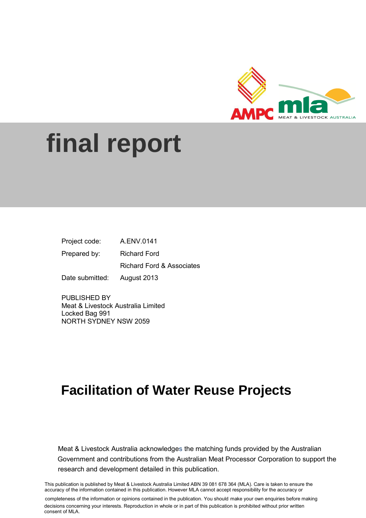

# **final report**

| Project code:   | A.ENV.0141                           |
|-----------------|--------------------------------------|
| Prepared by:    | Richard Ford                         |
|                 | <b>Richard Ford &amp; Associates</b> |
| Date submitted: | August 2013                          |

PUBLISHED BY Meat & Livestock Australia Limited Locked Bag 991 NORTH SYDNEY NSW 2059

## **Facilitation of Water Reuse Projects**

Meat & Livestock Australia acknowledges the matching funds provided by the Australian Government and contributions from the Australian Meat Processor Corporation to support the research and development detailed in this publication.

**1.1.1.1.1.1** This publication is published by Meat & Livestock Australia Limited ABN 39 081 678 364 (MLA). Care is taken to ensure the accuracy of the information contained in this publication. However MLA cannot accept responsibility for the accuracy or

completeness of the information or opinions contained in the publication. You should make your own enquiries before making decisions concerning your interests. Reproduction in whole or in part of this publication is prohibited without prior written consent of MLA.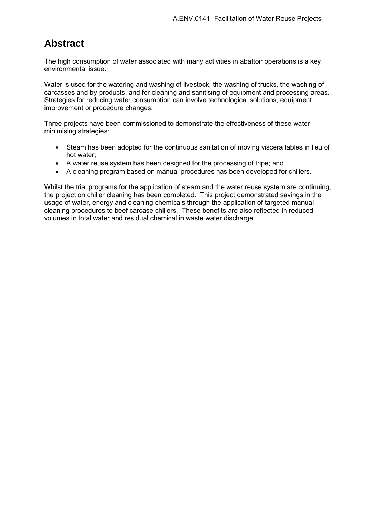## **Abstract**

The high consumption of water associated with many activities in abattoir operations is a key environmental issue.

Water is used for the watering and washing of livestock, the washing of trucks, the washing of carcasses and by-products, and for cleaning and sanitising of equipment and processing areas. Strategies for reducing water consumption can involve technological solutions, equipment improvement or procedure changes.

Three projects have been commissioned to demonstrate the effectiveness of these water minimising strategies:

- Steam has been adopted for the continuous sanitation of moving viscera tables in lieu of hot water;
- A water reuse system has been designed for the processing of tripe; and
- A cleaning program based on manual procedures has been developed for chillers.

Whilst the trial programs for the application of steam and the water reuse system are continuing, the project on chiller cleaning has been completed. This project demonstrated savings in the usage of water, energy and cleaning chemicals through the application of targeted manual cleaning procedures to beef carcase chillers. These benefits are also reflected in reduced volumes in total water and residual chemical in waste water discharge.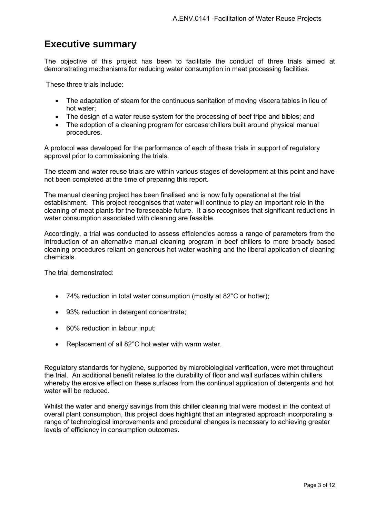## **Executive summary**

The objective of this project has been to facilitate the conduct of three trials aimed at demonstrating mechanisms for reducing water consumption in meat processing facilities.

These three trials include:

- The adaptation of steam for the continuous sanitation of moving viscera tables in lieu of hot water;
- The design of a water reuse system for the processing of beef tripe and bibles; and
- The adoption of a cleaning program for carcase chillers built around physical manual procedures.

A protocol was developed for the performance of each of these trials in support of regulatory approval prior to commissioning the trials.

The steam and water reuse trials are within various stages of development at this point and have not been completed at the time of preparing this report.

The manual cleaning project has been finalised and is now fully operational at the trial establishment. This project recognises that water will continue to play an important role in the cleaning of meat plants for the foreseeable future. It also recognises that significant reductions in water consumption associated with cleaning are feasible.

Accordingly, a trial was conducted to assess efficiencies across a range of parameters from the introduction of an alternative manual cleaning program in beef chillers to more broadly based cleaning procedures reliant on generous hot water washing and the liberal application of cleaning chemicals.

The trial demonstrated:

- 74% reduction in total water consumption (mostly at 82°C or hotter);
- 93% reduction in detergent concentrate;
- 60% reduction in labour input;
- Replacement of all 82°C hot water with warm water.

Regulatory standards for hygiene, supported by microbiological verification, were met throughout the trial. An additional benefit relates to the durability of floor and wall surfaces within chillers whereby the erosive effect on these surfaces from the continual application of detergents and hot water will be reduced.

Whilst the water and energy savings from this chiller cleaning trial were modest in the context of overall plant consumption, this project does highlight that an integrated approach incorporating a range of technological improvements and procedural changes is necessary to achieving greater levels of efficiency in consumption outcomes.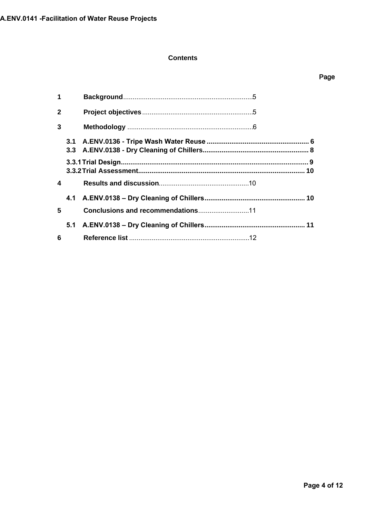#### **Contents**

| $\mathbf 1$  |                |  |  |
|--------------|----------------|--|--|
| $\mathbf{2}$ |                |  |  |
| 3            |                |  |  |
|              |                |  |  |
|              |                |  |  |
|              |                |  |  |
|              | $\overline{4}$ |  |  |
|              |                |  |  |
| 5            |                |  |  |
|              |                |  |  |
| 6            |                |  |  |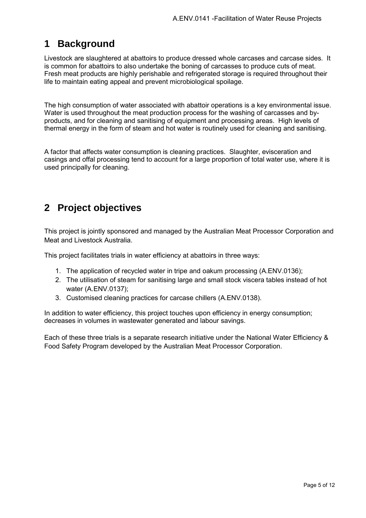## <span id="page-4-0"></span>**1 Background**

Livestock are slaughtered at abattoirs to produce dressed whole carcases and carcase sides. It is common for abattoirs to also undertake the boning of carcasses to produce cuts of meat. Fresh meat products are highly perishable and refrigerated storage is required throughout their life to maintain eating appeal and prevent microbiological spoilage.

The high consumption of water associated with abattoir operations is a key environmental issue. Water is used throughout the meat production process for the washing of carcasses and byproducts, and for cleaning and sanitising of equipment and processing areas. High levels of thermal energy in the form of steam and hot water is routinely used for cleaning and sanitising.

A factor that affects water consumption is cleaning practices. Slaughter, evisceration and casings and offal processing tend to account for a large proportion of total water use, where it is used principally for cleaning.

## <span id="page-4-1"></span>**2 Project objectives**

This project is jointly sponsored and managed by the Australian Meat Processor Corporation and Meat and Livestock Australia.

This project facilitates trials in water efficiency at abattoirs in three ways:

- 1. The application of recycled water in tripe and oakum processing (A.ENV.0136);
- 2. The utilisation of steam for sanitising large and small stock viscera tables instead of hot water (A.ENV.0137);
- 3. Customised cleaning practices for carcase chillers (A.ENV.0138).

In addition to water efficiency, this project touches upon efficiency in energy consumption; decreases in volumes in wastewater generated and labour savings.

Each of these three trials is a separate research initiative under the National Water Efficiency & Food Safety Program developed by the Australian Meat Processor Corporation.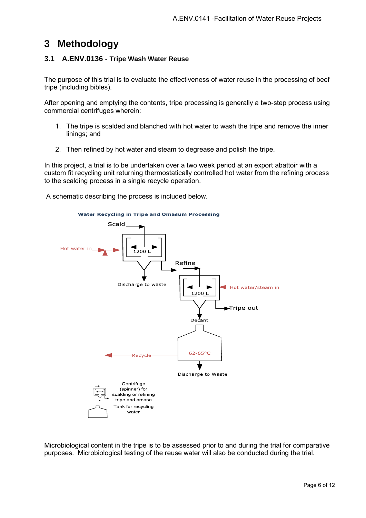## <span id="page-5-0"></span>**3 Methodology**

#### <span id="page-5-1"></span>**3.1 A.ENV.0136 - Tripe Wash Water Reuse**

The purpose of this trial is to evaluate the effectiveness of water reuse in the processing of beef tripe (including bibles).

After opening and emptying the contents, tripe processing is generally a two-step process using commercial centrifuges wherein:

- 1. The tripe is scalded and blanched with hot water to wash the tripe and remove the inner linings; and
- 2. Then refined by hot water and steam to degrease and polish the tripe.

In this project, a trial is to be undertaken over a two week period at an export abattoir with a custom fit recycling unit returning thermostatically controlled hot water from the refining process to the scalding process in a single recycle operation.

A schematic describing the process is included below.



Microbiological content in the tripe is to be assessed prior to and during the trial for comparative purposes. Microbiological testing of the reuse water will also be conducted during the trial.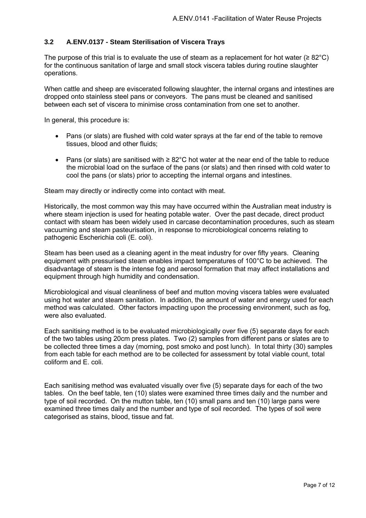#### **3.2 A.ENV.0137 - Steam Sterilisation of Viscera Trays**

The purpose of this trial is to evaluate the use of steam as a replacement for hot water ( $\geq 82^{\circ}$ C) for the continuous sanitation of large and small stock viscera tables during routine slaughter operations.

When cattle and sheep are eviscerated following slaughter, the internal organs and intestines are dropped onto stainless steel pans or conveyors. The pans must be cleaned and sanitised between each set of viscera to minimise cross contamination from one set to another.

In general, this procedure is:

- Pans (or slats) are flushed with cold water sprays at the far end of the table to remove tissues, blood and other fluids;
- Pans (or slats) are sanitised with ≥ 82°C hot water at the near end of the table to reduce the microbial load on the surface of the pans (or slats) and then rinsed with cold water to cool the pans (or slats) prior to accepting the internal organs and intestines.

Steam may directly or indirectly come into contact with meat.

Historically, the most common way this may have occurred within the Australian meat industry is where steam injection is used for heating potable water. Over the past decade, direct product contact with steam has been widely used in carcase decontamination procedures, such as steam vacuuming and steam pasteurisation, in response to microbiological concerns relating to pathogenic Escherichia coli (E. coli).

Steam has been used as a cleaning agent in the meat industry for over fifty years. Cleaning equipment with pressurised steam enables impact temperatures of 100°C to be achieved. The disadvantage of steam is the intense fog and aerosol formation that may affect installations and equipment through high humidity and condensation.

Microbiological and visual cleanliness of beef and mutton moving viscera tables were evaluated using hot water and steam sanitation. In addition, the amount of water and energy used for each method was calculated. Other factors impacting upon the processing environment, such as fog, were also evaluated.

Each sanitising method is to be evaluated microbiologically over five (5) separate days for each of the two tables using 20cm press plates. Two (2) samples from different pans or slates are to be collected three times a day (morning, post smoko and post lunch). In total thirty (30) samples from each table for each method are to be collected for assessment by total viable count, total coliform and E. coli.

Each sanitising method was evaluated visually over five (5) separate days for each of the two tables. On the beef table, ten (10) slates were examined three times daily and the number and type of soil recorded. On the mutton table, ten (10) small pans and ten (10) large pans were examined three times daily and the number and type of soil recorded. The types of soil were categorised as stains, blood, tissue and fat.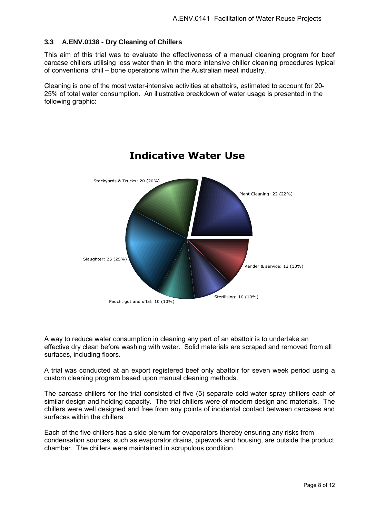#### <span id="page-7-0"></span>**3.3 A.ENV.0138 - Dry Cleaning of Chillers**

This aim of this trial was to evaluate the effectiveness of a manual cleaning program for beef carcase chillers utilising less water than in the more intensive chiller cleaning procedures typical of conventional chill – bone operations within the Australian meat industry.

Cleaning is one of the most water-intensive activities at abattoirs, estimated to account for 20- 25% of total water consumption. An illustrative breakdown of water usage is presented in the following graphic:



## **Indicative Water Use**

A way to reduce water consumption in cleaning any part of an abattoir is to undertake an effective dry clean before washing with water. Solid materials are scraped and removed from all surfaces, including floors.

A trial was conducted at an export registered beef only abattoir for seven week period using a custom cleaning program based upon manual cleaning methods.

The carcase chillers for the trial consisted of five (5) separate cold water spray chillers each of similar design and holding capacity. The trial chillers were of modern design and materials. The chillers were well designed and free from any points of incidental contact between carcases and surfaces within the chillers

Each of the five chillers has a side plenum for evaporators thereby ensuring any risks from condensation sources, such as evaporator drains, pipework and housing, are outside the product chamber. The chillers were maintained in scrupulous condition.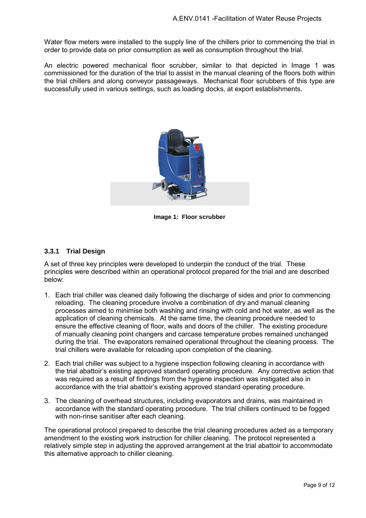Water flow meters were installed to the supply line of the chillers prior to commencing the trial in order to provide data on prior consumption as well as consumption throughout the trial.

An electric powered mechanical floor scrubber, similar to that depicted in Image 1 was commissioned for the duration of the trial to assist in the manual cleaning of the floors both within the trial chillers and along conveyor passageways. Mechanical floor scrubbers of this type are successfully used in various settings, such as loading docks, at export establishments.



**Image 1: Floor scrubber** 

#### <span id="page-8-0"></span>**3.3.1 Trial Design**

A set of three key principles were developed to underpin the conduct of the trial. These principles were described within an operational protocol prepared for the trial and are described below:

- 1. Each trial chiller was cleaned daily following the discharge of sides and prior to commencing reloading. The cleaning procedure involve a combination of dry and manual cleaning processes aimed to minimise both washing and rinsing with cold and hot water, as well as the application of cleaning chemicals. At the same time, the cleaning procedure needed to ensure the effective cleaning of floor, walls and doors of the chiller. The existing procedure of manually cleaning point changers and carcase temperature probes remained unchanged during the trial. The evaporators remained operational throughout the cleaning process. The trial chillers were available for reloading upon completion of the cleaning.
- 2. Each trial chiller was subject to a hygiene inspection following cleaning in accordance with the trial abattoir's existing approved standard operating procedure. Any corrective action that was required as a result of findings from the hygiene inspection was instigated also in accordance with the trial abattoir's existing approved standard operating procedure.
- 3. The cleaning of overhead structures, including evaporators and drains, was maintained in accordance with the standard operating procedure. The trial chillers continued to be fogged with non-rinse sanitiser after each cleaning.

The operational protocol prepared to describe the trial cleaning procedures acted as a temporary amendment to the existing work instruction for chiller cleaning. The protocol represented a relatively simple step in adjusting the approved arrangement at the trial abattoir to accommodate this alternative approach to chiller cleaning.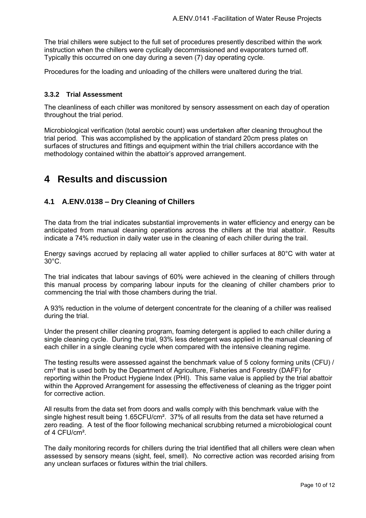The trial chillers were subject to the full set of procedures presently described within the work instruction when the chillers were cyclically decommissioned and evaporators turned off. Typically this occurred on one day during a seven (7) day operating cycle.

Procedures for the loading and unloading of the chillers were unaltered during the trial.

#### <span id="page-9-0"></span>**3.3.2 Trial Assessment**

The cleanliness of each chiller was monitored by sensory assessment on each day of operation throughout the trial period.

Microbiological verification (total aerobic count) was undertaken after cleaning throughout the trial period. This was accomplished by the application of standard 20cm press plates on surfaces of structures and fittings and equipment within the trial chillers accordance with the methodology contained within the abattoir's approved arrangement.

### <span id="page-9-1"></span>**4 Results and discussion**

#### <span id="page-9-2"></span>**4.1 A.ENV.0138 – Dry Cleaning of Chillers**

The data from the trial indicates substantial improvements in water efficiency and energy can be anticipated from manual cleaning operations across the chillers at the trial abattoir. Results indicate a 74% reduction in daily water use in the cleaning of each chiller during the trail.

Energy savings accrued by replacing all water applied to chiller surfaces at 80°C with water at 30°C.

The trial indicates that labour savings of 60% were achieved in the cleaning of chillers through this manual process by comparing labour inputs for the cleaning of chiller chambers prior to commencing the trial with those chambers during the trial.

A 93% reduction in the volume of detergent concentrate for the cleaning of a chiller was realised during the trial.

Under the present chiller cleaning program, foaming detergent is applied to each chiller during a single cleaning cycle. During the trial, 93% less detergent was applied in the manual cleaning of each chiller in a single cleaning cycle when compared with the intensive cleaning regime.

The testing results were assessed against the benchmark value of 5 colony forming units (CFU) / cm² that is used both by the Department of Agriculture, Fisheries and Forestry (DAFF) for reporting within the Product Hygiene Index (PHI). This same value is applied by the trial abattoir within the Approved Arrangement for assessing the effectiveness of cleaning as the trigger point for corrective action.

All results from the data set from doors and walls comply with this benchmark value with the single highest result being 1.65CFU/cm<sup>2</sup>. 37% of all results from the data set have returned a zero reading. A test of the floor following mechanical scrubbing returned a microbiological count of 4 CFU/cm².

The daily monitoring records for chillers during the trial identified that all chillers were clean when assessed by sensory means (sight, feel, smell). No corrective action was recorded arising from any unclean surfaces or fixtures within the trial chillers.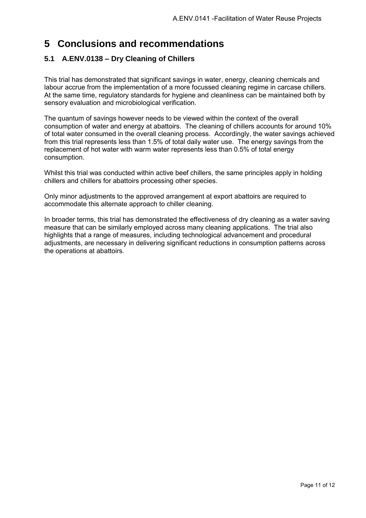## <span id="page-10-0"></span>**5 Conclusions and recommendations**

#### <span id="page-10-1"></span>**5.1 A.ENV.0138 – Dry Cleaning of Chillers**

This trial has demonstrated that significant savings in water, energy, cleaning chemicals and labour accrue from the implementation of a more focussed cleaning regime in carcase chillers. At the same time, regulatory standards for hygiene and cleanliness can be maintained both by sensory evaluation and microbiological verification.

The quantum of savings however needs to be viewed within the context of the overall consumption of water and energy at abattoirs. The cleaning of chillers accounts for around 10% of total water consumed in the overall cleaning process. Accordingly, the water savings achieved from this trial represents less than 1.5% of total daily water use. The energy savings from the replacement of hot water with warm water represents less than 0.5% of total energy consumption.

Whilst this trial was conducted within active beef chillers, the same principles apply in holding chillers and chillers for abattoirs processing other species.

Only minor adjustments to the approved arrangement at export abattoirs are required to accommodate this alternate approach to chiller cleaning.

In broader terms, this trial has demonstrated the effectiveness of dry cleaning as a water saving measure that can be similarly employed across many cleaning applications. The trial also highlights that a range of measures, including technological advancement and procedural adjustments, are necessary in delivering significant reductions in consumption patterns across the operations at abattoirs.